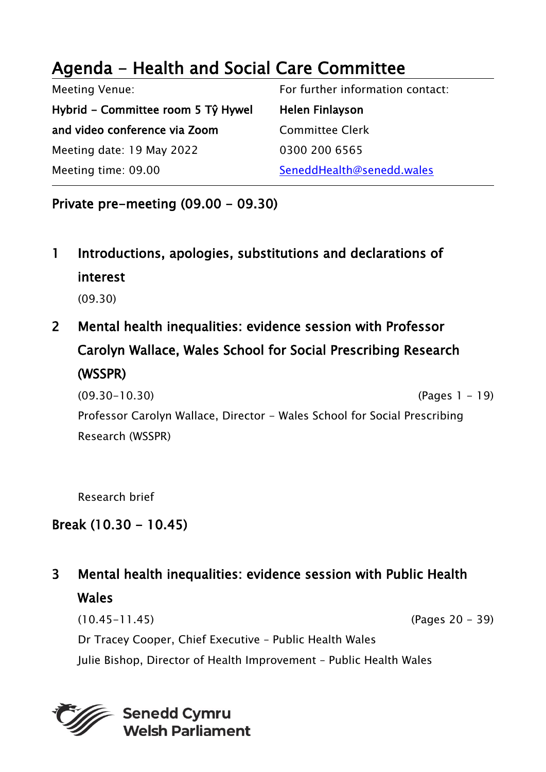# Agenda - Health and Social Care Committee

Meeting Venue: Hybrid - Committee room 5 Tŷ Hywel and video conference via Zoom Meeting date: 19 May 2022 Meeting time: 09.00 For further information contact: Helen Finlayson Committee Clerk 0300 200 6565 SeneddHealth@senedd.wales

Private pre-meeting (09.00 - 09.30)

- 1 Introductions, apologies, substitutions and declarations of interest (09.30)
- 2 Mental health inequalities: evidence session with Professor Carolyn Wallace, Wales School for Social Prescribing Research (WSSPR)
	- (09.30-10.30) (Pages 1 19) Professor Carolyn Wallace, Director - Wales School for Social Prescribing Research (WSSPR)

Research brief

### Break (10.30 - 10.45)

### 3 Mental health inequalities: evidence session with Public Health **Wales**

(10.45-11.45) (Pages 20 - 39) Dr Tracey Cooper, Chief Executive – Public Health Wales Julie Bishop, Director of Health Improvement – Public Health Wales

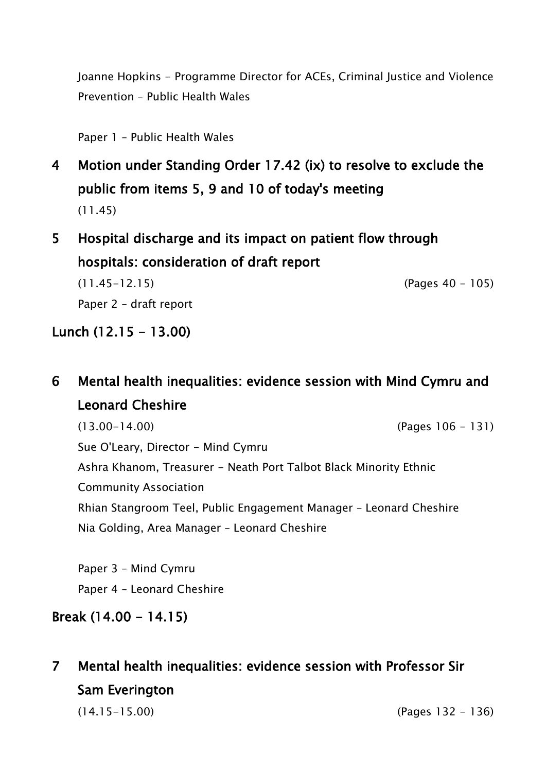Joanne Hopkins - Programme Director for ACEs, Criminal Justice and Violence Prevention – Public Health Wales

Paper 1 – Public Health Wales

- 4 Motion under Standing Order 17.42 (ix) to resolve to exclude the public from items 5, 9 and 10 of today's meeting (11.45)
- 5 Hospital discharge and its impact on patient flow through hospitals: consideration of draft report

(11.45-12.15) (Pages 40 - 105) Paper 2 – draft report

#### Lunch  $(12.15 - 13.00)$

### 6 Mental health inequalities: evidence session with Mind Cymru and Leonard Cheshire

(13.00-14.00) (Pages 106 - 131) Sue O'Leary, Director - Mind Cymru Ashra Khanom, Treasurer - Neath Port Talbot Black Minority Ethnic Community Association Rhian Stangroom Teel, Public Engagement Manager – Leonard Cheshire Nia Golding, Area Manager – Leonard Cheshire

Paper 3 – Mind Cymru Paper 4 – Leonard Cheshire

#### Break (14.00 - 14.15)

## 7 Mental health inequalities: evidence session with Professor Sir Sam Everington

(14.15-15.00) (Pages 132 - 136)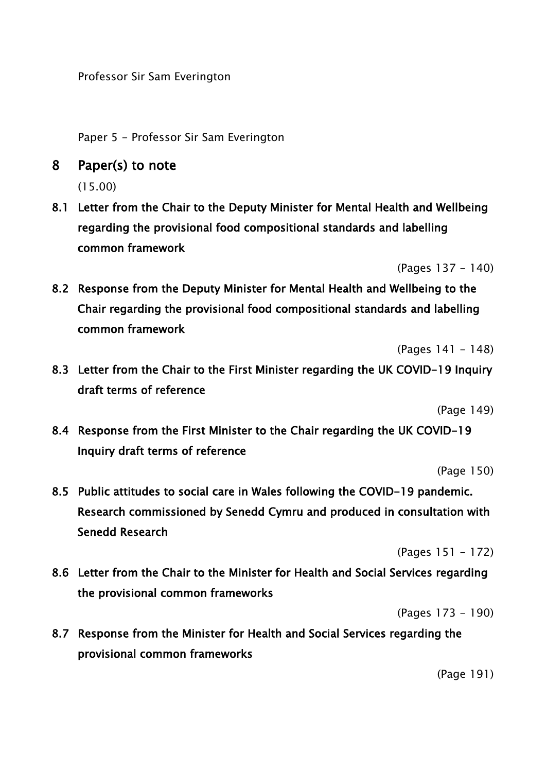Professor Sir Sam Everington

Paper 5 - Professor Sir Sam Everington

8 Paper(s) to note

(15.00)

8.1 Letter from the Chair to the Deputy Minister for Mental Health and Wellbeing regarding the provisional food compositional standards and labelling common framework

(Pages 137 - 140)

8.2 Response from the Deputy Minister for Mental Health and Wellbeing to the Chair regarding the provisional food compositional standards and labelling common framework

(Pages 141 - 148)

8.3 Letter from the Chair to the First Minister regarding the UK COVID-19 Inquiry draft terms of reference

(Page 149)

8.4 Response from the First Minister to the Chair regarding the UK COVID-19 Inquiry draft terms of reference

(Page 150)

8.5 Public attitudes to social care in Wales following the COVID-19 pandemic. Research commissioned by Senedd Cymru and produced in consultation with Senedd Research

(Pages 151 - 172)

8.6 Letter from the Chair to the Minister for Health and Social Services regarding the provisional common frameworks

(Pages 173 - 190)

8.7 Response from the Minister for Health and Social Services regarding the provisional common frameworks

(Page 191)